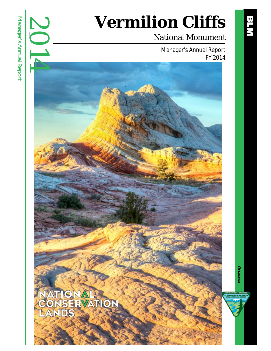# **Vermilion Cliffs**

### National Monument

Manager's Annual Report FY 2014



2014

**Arizona**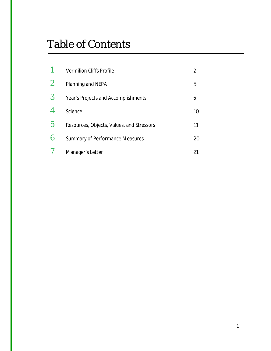## Table of Contents

|                  | <b>Vermilion Cliffs Profile</b>           |    |
|------------------|-------------------------------------------|----|
| $\boldsymbol{2}$ | Planning and NEPA                         | 5  |
| 3                | Year's Projects and Accomplishments       | 6  |
| 4                | Science                                   | 10 |
| $\overline{5}$   | Resources, Objects, Values, and Stressors | 11 |
| 6                | <b>Summary of Performance Measures</b>    | 20 |
|                  | Manager's Letter                          | 21 |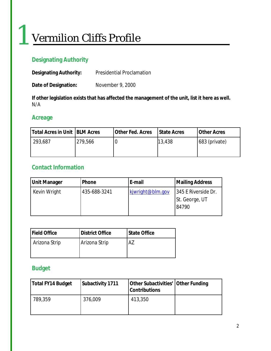## Vermilion Cliffs Profile

### **Designating Authority**

| <b>Designating Authority:</b> | <b>Presidential Proclamation</b> |
|-------------------------------|----------------------------------|
|-------------------------------|----------------------------------|

**Date of Designation:** November 9, 2000

**If other legislation exists that has affected the management of the unit, list it here as well.** N/A

#### **Acreage**

1

| Total Acres in Unit   BLM Acres |         | Other Fed. Acres | I State Acres | <b>Other Acres</b> |
|---------------------------------|---------|------------------|---------------|--------------------|
| 293,687                         | 279,566 |                  | 13,438        | 683 (private)      |
|                                 |         |                  |               |                    |

#### **Contact Information**

| <b>Unit Manager</b> | Phone        | E-mail           | <b>Mailing Address</b>                         |
|---------------------|--------------|------------------|------------------------------------------------|
| Kevin Wright        | 435-688-3241 | kjwright@blm.gov | 345 E Riverside Dr.<br>St. George, UT<br>84790 |

| <b>IField Office</b> | <b>District Office</b> | <b>State Office</b> |
|----------------------|------------------------|---------------------|
| Arizona Strip        | Arizona Strip          | Α7                  |
|                      |                        |                     |

#### **Budget**

| Total FY14 Budget | Subactivity 1711 | Other Subactivities' Other Funding<br><b>Contributions</b> |  |
|-------------------|------------------|------------------------------------------------------------|--|
| 789,359           | 376,009          | 413,350                                                    |  |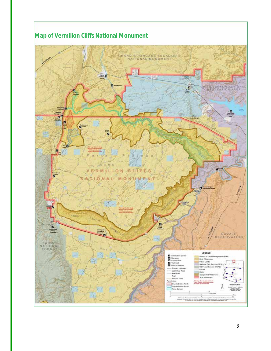

#### **Map of Vermilion Cliffs National Monument**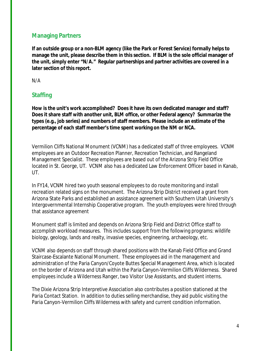#### **Managing Partners**

**If an outside group or a non-BLM agency (like the Park or Forest Service) formally helps to manage the unit, please describe them in this section. If BLM is the sole official manager of the unit, simply enter "N/A." Regular partnerships and partner activities are covered in a later section of this report.**

N/A

#### **Staffing**

**How is the unit's work accomplished? Does it have its own dedicated manager and staff? Does it share staff with another unit, BLM office, or other Federal agency? Summarize the types (e.g., job series) and numbers of staff members. Please include an estimate of the percentage of each staff member's time spent working on the NM or NCA.** 

Vermilion Cliffs National Monument (VCNM) has a dedicated staff of three employees. VCNM employees are an Outdoor Recreation Planner, Recreation Technician, and Rangeland Management Specialist. These employees are based out of the Arizona Strip Field Office located in St. George, UT. VCNM also has a dedicated Law Enforcement Officer based in Kanab, UT.

In FY14, VCNM hired two youth seasonal employees to do route monitoring and install recreation related signs on the monument. The Arizona Strip District received a grant from Arizona State Parks and established an assistance agreement with Southern Utah University's Intergovernmental Internship Cooperative program. The youth employees were hired through that assistance agreement

Monument staff is limited and depends on Arizona Strip Field and District Office staff to accomplish workload measures. This includes support from the following programs: wildlife biology, geology, lands and realty, invasive species, engineering, archaeology, etc.

VCNM also depends on staff through shared positions with the Kanab Field Office and Grand Staircase-Escalante National Monument. These employees aid in the management and administration of the Paria Canyon/Coyote Buttes Special Management Area, which is located on the border of Arizona and Utah within the Paria Canyon-Vermilion Cliffs Wilderness. Shared employees include a Wilderness Ranger, two Visitor Use Assistants, and student interns.

The Dixie Arizona Strip Interpretive Association also contributes a position stationed at the Paria Contact Station. In addition to duties selling merchandise, they aid public visiting the Paria Canyon-Vermilion Cliffs Wilderness with safety and current condition information.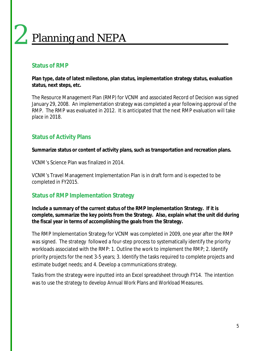## Planning and NEPA 2

#### **Status of RMP**

**Plan type, date of latest milestone, plan status, implementation strategy status, evaluation status, next steps, etc.**

The Resource Management Plan (RMP) for VCNM and associated Record of Decision was signed January 29, 2008. An implementation strategy was completed a year following approval of the RMP. The RMP was evaluated in 2012. It is anticipated that the next RMP evaluation will take place in 2018.

#### **Status of Activity Plans**

**Summarize status or content of activity plans, such as transportation and recreation plans.**

VCNM's Science Plan was finalized in 2014.

VCNM's Travel Management Implementation Plan is in draft form and is expected to be completed in FY2015.

#### **Status of RMP Implementation Strategy**

**Include a summary of the current status of the RMP Implementation Strategy. If it is complete, summarize the key points from the Strategy. Also, explain what the unit did during the fiscal year in terms of accomplishing the goals from the Strategy.**

The RMP Implementation Strategy for VCNM was completed in 2009, one year after the RMP was signed. The strategy followed a four-step process to systematically identify the priority workloads associated with the RMP: 1. Outline the work to implement the RMP; 2. Identify priority projects for the next 3-5 years; 3. Identify the tasks required to complete projects and estimate budget needs; and 4. Develop a communications strategy.

Tasks from the strategy were inputted into an Excel spreadsheet through FY14. The intention was to use the strategy to develop Annual Work Plans and Workload Measures.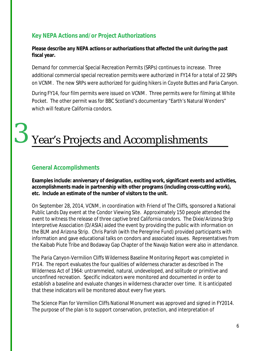#### **Key NEPA Actions and/or Project Authorizations**

**Please describe any NEPA actions or authorizations that affected the unit during the past fiscal year.**

Demand for commercial Special Recreation Permits (SRPs) continues to increase. Three additional commercial special recreation permits were authorized in FY14 for a total of 22 SRPs on VCNM. The new SRPs were authorized for guiding hikers in Coyote Buttes and Paria Canyon.

During FY14, four film permits were issued on VCNM. Three permits were for filming at White Pocket. The other permit was for BBC Scotland's documentary "Earth's Natural Wonders" which will feature California condors.

## Year's Projects and Accomplishments

#### **General Accomplishments**

3

**Examples include: anniversary of designation, exciting work, significant events and activities, accomplishments made in partnership with other programs (including cross-cutting work), etc. Include an estimate of the number of visitors to the unit.**

On September 28, 2014, VCNM, in coordination with Friend of The Cliffs, sponsored a National Public Lands Day event at the Condor Viewing Site. Approximately 150 people attended the event to witness the release of three captive bred California condors. The Dixie/Arizona Strip Interpretive Association (D/ASIA) aided the event by providing the public with information on the BLM and Arizona Strip. Chris Parish (with the Peregrine Fund) provided participants with information and gave educational talks on condors and associated issues. Representatives from the Kaibab Piute Tribe and Bodaway Gap Chapter of the Navajo Nation were also in attendance.

The Paria Canyon-Vermilion Cliffs Wilderness Baseline Monitoring Report was completed in FY14. The report evaluates the four qualities of wilderness character as described in The Wilderness Act of 1964: untrammeled, natural, undeveloped, and solitude or primitive and unconfined recreation. Specific indicators were monitored and documented in order to establish a baseline and evaluate changes in wilderness character over time. It is anticipated that these indicators will be monitored about every five years.

The Science Plan for Vermilion Cliffs National Monument was approved and signed in FY2014. The purpose of the plan is to support conservation, protection, and interpretation of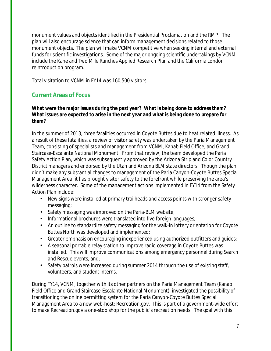monument values and objects identified in the Presidential Proclamation and the RMP. The plan will also encourage science that can inform management decisions related to those monument objects. The plan will make VCNM competitive when seeking internal and external funds for scientific investigations. Some of the major ongoing scientific undertakings by VCNM include the Kane and Two Mile Ranches Applied Research Plan and the California condor reintroduction program.

Total visitation to VCNM in FY14 was 160,500 visitors.

#### **Current Areas of Focus**

#### **What were the major issues during the past year? What is being done to address them? What issues are expected to arise in the next year and what is being done to prepare for them?**

In the summer of 2013, three fatalities occurred in Coyote Buttes due to heat related illness. As a result of these fatalities, a review of visitor safety was undertaken by the Paria Management Team, consisting of specialists and management from VCNM, Kanab Field Office, and Grand Staircase-Escalante National Monument. From that review, the team developed the Paria Safety Action Plan, which was subsequently approved by the Arizona Strip and Color Country District managers and endorsed by the Utah and Arizona BLM state directors. Though the plan didn't make any substantial changes to management of the Paria Canyon-Coyote Buttes Special Management Area, it has brought visitor safety to the forefront while preserving the area's wilderness character. Some of the management actions implemented in FY14 from the Safety Action Plan include:

- New signs were installed at primary trailheads and access points with stronger safety messaging;
- Safety messaging was improved on the Paria-BLM website;
- Informational brochures were translated into five foreign languages;
- An outline to standardize safety messaging for the walk-in lottery orientation for Coyote Buttes North was developed and implemented;
- Greater emphasis on encouraging inexperienced using authorized outfitters and guides;
- A seasonal portable relay station to improve radio coverage in Coyote Buttes was installed. This will improve communications among emergency personnel during Search and Rescue events, and;
- Safety patrols were increased during summer 2014 through the use of existing staff, volunteers, and student interns.

During FY14, VCNM, together with its other partners on the Paria Management Team (Kanab Field Office and Grand Staircase-Escalante National Monument), investigated the possibility of transitioning the online permitting system for the Paria Canyon-Coyote Buttes Special Management Area to a new web-host: Recreation.gov. This is part of a government-wide effort to make Recreation.gov a one-stop shop for the public's recreation needs. The goal with this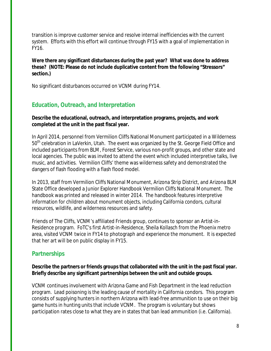transition is improve customer service and resolve internal inefficiencies with the current system. Efforts with this effort will continue through FY15 with a goal of implementation in FY16.

**Were there any significant disturbances during the past year? What was done to address these? (NOTE: Please do not include duplicative content from the following "Stressors" section.)**

No significant disturbances occurred on VCNM during FY14.

#### **Education, Outreach, and Interpretation**

**Describe the educational, outreach, and interpretation programs, projects, and work completed at the unit in the past fiscal year.** 

In April 2014, personnel from Vermilion Cliffs National Monument participated in a Wilderness 50<sup>th</sup> celebration in LaVerkin, Utah. The event was organized by the St. George Field Office and included participants from BLM, Forest Service, various non-profit groups, and other state and local agencies. The public was invited to attend the event which included interpretive talks, live music, and activities. Vermilion Cliffs' theme was wilderness safety and demonstrated the dangers of flash flooding with a flash flood model.

In 2013, staff from Vermilion Cliffs National Monument, Arizona Strip District, and Arizona BLM State Office developed a Junior Explorer Handbook Vermilion Cliffs National Monument. The handbook was printed and released in winter 2014. The handbook features interpretive information for children about monument objects, including California condors, cultural resources, wildlife, and wilderness resources and safety.

Friends of The Cliffs, VCNM's affiliated Friends group, continues to sponsor an Artist-in-Residence program. FoTC's first Artist-in-Residence, Sheila Kollasch from the Phoenix metro area, visited VCNM twice in FY14 to photograph and experience the monument. It is expected that her art will be on public display in FY15.

#### **Partnerships**

**Describe the partners or friends groups that collaborated with the unit in the past fiscal year. Briefly describe any significant partnerships between the unit and outside groups.** 

VCNM continues involvement with Arizona Game and Fish Department in the lead reduction program. Lead poisoning is the leading cause of mortality in California condors. This program consists of supplying hunters in northern Arizona with lead-free ammunition to use on their big game hunts in hunting units that include VCNM. The program is voluntary but shows participation rates close to what they are in states that ban lead ammunition (i.e. California).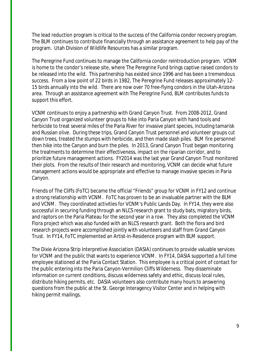The lead reduction program is critical to the success of the California condor recovery program. The BLM continues to contribute financially through an assistance agreement to help pay of the program. Utah Division of Wildlife Resources has a similar program.

The Peregrine Fund continues to manage the California condor reintroduction program. VCNM is home to the condor's release site, where The Peregrine Fund brings captive raised condors to be released into the wild. This partnership has existed since 1996 and has been a tremendous success. From a low point of 22 birds in 1982, The Peregrine Fund releases approximately 12- 15 birds annually into the wild. There are now over 70 free-flying condors in the Utah-Arizona area. Through an assistance agreement with The Peregrine Fund, BLM contributes funds to support this effort.

VCNM continues to enjoy a partnership with Grand Canyon Trust. From 2008-2012, Grand Canyon Trust organized volunteer groups to hike into Paria Canyon with hand tools and herbicide to treat several miles of the Paria River for invasive plant species, including tamarisk and Russian olive. During these trips, Grand Canyon Trust personnel and volunteer groups cut down trees, treated the stumps with herbicide, and then made slash piles. BLM fire personnel then hike into the Canyon and burn the piles. In 2013, Grand Canyon Trust began monitoring the treatments to determine their effectiveness, impact on the riparian corridor, and to prioritize future management actions. FY2014 was the last year Grand Canyon Trust monitored their plots. From the results of their research and monitoring, VCNM can decide what future management actions would be appropriate and effective to manage invasive species in Paria Canyon.

Friends of The Cliffs (FoTC) became the official "Friends" group for VCNM in FY12 and continue a strong relationship with VCNM. FoTC has proven to be an invaluable partner with the BLM and VCNM. They coordinated activities for VCNM's Public Lands Day. In FY14, they were also successful in securing funding through an NLCS research grant to study bats, migratory birds, and raptors on the Paria Plateau for the second year in a row. They also completed the VCNM Flora project which was also funded with an NLCS research grant. Both the flora and bird research projects were accomplished jointly with volunteers and staff from Grand Canyon Trust. In FY14, FoTC implemented an Artist-in-Residence program with BLM support.

The Dixie Arizona Strip Interpretive Association (DASIA) continues to provide valuable services for VCNM and the public that wants to experience VCNM. In FY14, DASIA supported a full time employee stationed at the Paria Contact Station. This employee is a critical point of contact for the public entering into the Paria Canyon-Vermilion Cliffs Wilderness. They disseminate information on current conditions, discuss wilderness safety and ethic, discuss local rules, distribute hiking permits, etc. DASIA volunteers also contribute many hours to answering questions from the public at the St. George Interagency Visitor Center and in helping with hiking permit mailings.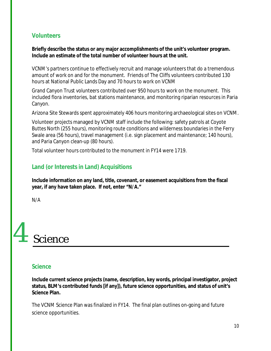#### **Volunteers**

**Briefly describe the status or any major accomplishments of the unit's volunteer program. Include an estimate of the total number of volunteer hours at the unit.**

VCNM's partners continue to effectively recruit and manage volunteers that do a tremendous amount of work on and for the monument. Friends of The Cliffs volunteers contributed 130 hours at National Public Lands Day and 70 hours to work on VCNM

Grand Canyon Trust volunteers contributed over 950 hours to work on the monument. This included flora inventories, bat stations maintenance, and monitoring riparian resources in Paria Canyon.

Arizona Site Stewards spent approximately 406 hours monitoring archaeological sites on VCNM.

Volunteer projects managed by VCNM staff include the following: safety patrols at Coyote Buttes North (255 hours), monitoring route conditions and wilderness boundaries in the Ferry Swale area (56 hours), travel management (i.e. sign placement and maintenance; 140 hours), and Paria Canyon clean-up (80 hours).

Total volunteer hours contributed to the monument in FY14 were 1719.

#### **Land (or Interests in Land) Acquisitions**

**Include information on any land, title, covenant, or easement acquisitions from the fiscal year, if any have taken place. If not, enter "N/A."**

N/A

## Science 4

#### **Science**

**Include current science projects (name, description, key words, principal investigator, project status, BLM's contributed funds [if any]), future science opportunities, and status of unit's Science Plan.**

The VCNM Science Plan was finalized in FY14. The final plan outlines on-going and future science opportunities.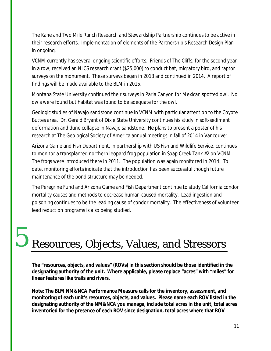The Kane and Two Mile Ranch Research and Stewardship Partnership continues to be active in their research efforts. Implementation of elements of the Partnership's Research Design Plan in ongoing.

VCNM currently has several ongoing scientific efforts. Friends of The Cliffs, for the second year in a row, received an NLCS research grant (\$25,000) to conduct bat, migratory bird, and raptor surveys on the monument. These surveys began in 2013 and continued in 2014. A report of findings will be made available to the BLM in 2015.

Montana State University continued their surveys in Paria Canyon for Mexican spotted owl. No owls were found but habitat was found to be adequate for the owl.

Geologic studies of Navajo sandstone continue in VCNM with particular attention to the Coyote Buttes area. Dr. Gerald Bryant of Dixie State University continues his study in soft-sediment deformation and dune collapse in Navajo sandstone. He plans to present a poster of his research at The Geological Society of America annual meetings in fall of 2014 in Vancouver.

Arizona Game and Fish Department, in partnership with US Fish and Wildlife Service, continues to monitor a transplanted northern leopard frog population in Soap Creek Tank #2 on VCNM. The frogs were introduced there in 2011. The population was again monitored in 2014. To date, monitoring efforts indicate that the introduction has been successful though future maintenance of the pond structure may be needed.

The Peregrine Fund and Arizona Game and Fish Department continue to study California condor mortality causes and methods to decrease human-caused mortality. Lead ingestion and poisoning continues to be the leading cause of condor mortality. The effectiveness of volunteer lead reduction programs is also being studied.

## Resources, Objects, Values, and Stressors

5

**The "resources, objects, and values" (ROVs) in this section should be those identified in the designating authority of the unit. Where applicable, please replace "acres" with "miles" for linear features like trails and rivers.**

**Note: The BLM NM&NCA Performance Measure calls for the inventory, assessment, and monitoring of each unit's resources, objects, and values. Please name each ROV listed in the designating authority of the NM&NCA you manage, include total acres in the unit, total acres inventoried for the presence of each ROV since designation, total acres where that ROV**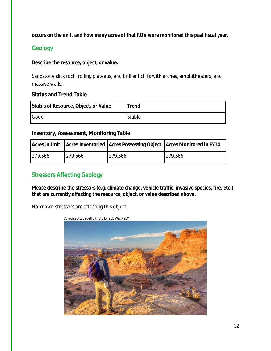**occurs on the unit, and how many acres of that ROV were monitored this past fiscal year.**

#### **Geology**

#### **Describe the resource, object, or value.**

Sandstone slick rock, rolling plateaus, and brilliant cliffs with arches, amphitheaters, and massive walls.

#### **Status and Trend Table**

| Status of Resource, Object, or Value | <b>Trend</b> |
|--------------------------------------|--------------|
| Good                                 | Stable       |

#### **Inventory, Assessment, Monitoring Table**

|         |         |         | Acres in Unit   Acres Inventoried   Acres Possessing Object   Acres Monitored in FY14 |
|---------|---------|---------|---------------------------------------------------------------------------------------|
| 279,566 | 279,566 | 279,566 | 279,566                                                                               |

#### **Stressors Affecting Geology**

**Please describe the stressors (e.g. climate change, vehicle traffic, invasive species, fire, etc.) that are currently affecting the resource, object, or value described above.**

No known stressors are affecting this object

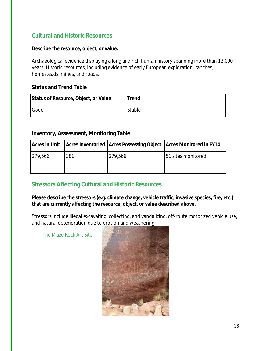#### **Cultural and Historic Resources**

#### **Describe the resource, object, or value.**

Archaeological evidence displaying a long and rich human history spanning more than 12,000 years. Historic resources, including evidence of early European exploration, ranches, homesteads, mines, and roads.

#### **Status and Trend Table**

| Status of Resource, Object, or Value | <b>Trend</b> |
|--------------------------------------|--------------|
| Good                                 | Stable       |

#### **Inventory, Assessment, Monitoring Table**

|         |     | Acres in Unit   Acres Inventoried   Acres Possessing Object   Acres Monitored in FY14 |                    |
|---------|-----|---------------------------------------------------------------------------------------|--------------------|
| 279,566 | 381 | 279,566                                                                               | 51 sites monitored |
|         |     |                                                                                       |                    |

#### **Stressors Affecting Cultural and Historic Resources**

**Please describe the stressors (e.g. climate change, vehicle traffic, invasive species, fire, etc.) that are currently affecting the resource, object, or value described above.** 

Stressors include illegal excavating, collecting, and vandalizing, off-route motorized vehicle use, and natural deterioration due to erosion and weathering.

The Maze Rock Art Site

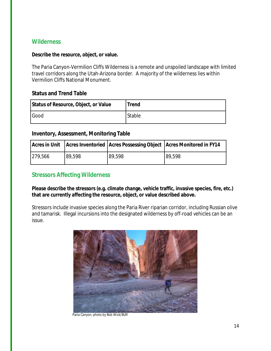#### **Wilderness**

#### **Describe the resource, object, or value.**

The Paria Canyon-Vermilion Cliffs Wilderness is a remote and unspoiled landscape with limited travel corridors along the Utah-Arizona border. A majority of the wilderness lies within Vermilion Cliffs National Monument.

#### **Status and Trend Table**

| Status of Resource, Object, or Value | <b>Trend</b> |
|--------------------------------------|--------------|
| Good                                 | Stable       |

#### **Inventory, Assessment, Monitoring Table**

|         |        |        | Acres in Unit   Acres Inventoried   Acres Possessing Object   Acres Monitored in FY14 |
|---------|--------|--------|---------------------------------------------------------------------------------------|
| 279,566 | 89,598 | 89,598 | 89,598                                                                                |

#### **Stressors Affecting Wilderness**

**Please describe the stressors (e.g. climate change, vehicle traffic, invasive species, fire, etc.) that are currently affecting the resource, object, or value described above.** 

Stressors include invasive species along the Paria River riparian corridor, including Russian olive and tamarisk. Illegal incursions into the designated wilderness by off-road vehicles can be an issue.



Paria Canyon; photo by Bob Wick/BLM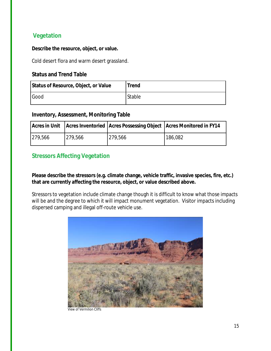#### **Vegetation**

#### **Describe the resource, object, or value.**

Cold desert flora and warm desert grassland.

#### **Status and Trend Table**

| Status of Resource, Object, or Value | <b>Trend</b> |
|--------------------------------------|--------------|
| Good                                 | Stable       |

#### **Inventory, Assessment, Monitoring Table**

|         |         | Acres in Unit   Acres Inventoried   Acres Possessing Object   Acres Monitored in FY14 |         |
|---------|---------|---------------------------------------------------------------------------------------|---------|
| 279,566 | 279,566 | 1279,566                                                                              | 186,082 |

#### **Stressors Affecting Vegetation**

**Please describe the stressors (e.g. climate change, vehicle traffic, invasive species, fire, etc.) that are currently affecting the resource, object, or value described above.** 

Stressors to vegetation include climate change though it is difficult to know what those impacts will be and the degree to which it will impact monument vegetation. Visitor impacts including dispersed camping and illegal off-route vehicle use.



View of Vermilion Cliffs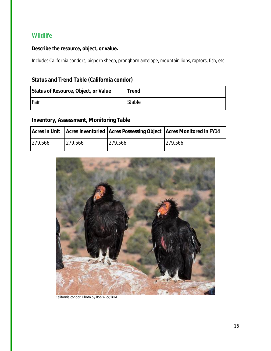#### **Wildlife**

#### **Describe the resource, object, or value.**

Includes California condors, bighorn sheep, pronghorn antelope, mountain lions, raptors, fish, etc.

#### **Status and Trend Table (California condor)**

| Status of Resource, Object, or Value | <b>Trend</b> |
|--------------------------------------|--------------|
| Fair                                 | Stable       |

#### **Inventory, Assessment, Monitoring Table**

|         |         |         | Acres in Unit   Acres Inventoried   Acres Possessing Object   Acres Monitored in FY14 |
|---------|---------|---------|---------------------------------------------------------------------------------------|
| 279,566 | 279,566 | 279,566 | 279,566                                                                               |



California condor; Photo by Bob Wick/BLM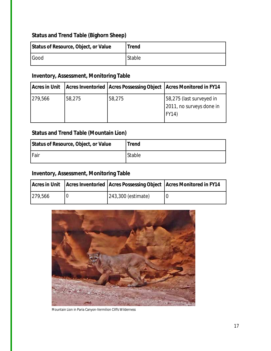### **Status and Trend Table (Bighorn Sheep)**

| Status of Resource, Object, or Value | <b>Trend</b> |
|--------------------------------------|--------------|
| Good                                 | Stable       |

### **Inventory, Assessment, Monitoring Table**

| <b>Acres in Unit</b> |        | Acres Inventoried   Acres Possessing Object   Acres Monitored in FY14 |                                                               |
|----------------------|--------|-----------------------------------------------------------------------|---------------------------------------------------------------|
| 279,566              | 58,275 | 58,275                                                                | 58,275 (last surveyed in<br>2011, no surveys done in<br>FY14) |

#### **Status and Trend Table (Mountain Lion)**

| Status of Resource, Object, or Value | <b>Trend</b> |
|--------------------------------------|--------------|
| <b>IFair</b>                         | Stable       |

#### **Inventory, Assessment, Monitoring Table**

|         |                    | Acres in Unit   Acres Inventoried   Acres Possessing Object   Acres Monitored in FY14 |
|---------|--------------------|---------------------------------------------------------------------------------------|
| 279,566 | 243,300 (estimate) |                                                                                       |



Mountain Lion in Paria Canyon-Vermilion Cliffs Wilderness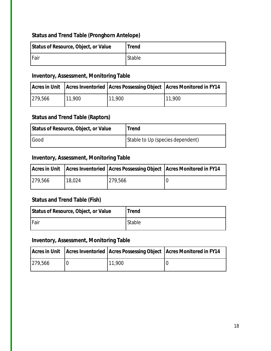#### **Status and Trend Table (Pronghorn Antelope)**

| Status of Resource, Object, or Value | <b>Trend</b> |
|--------------------------------------|--------------|
| Fair                                 | Stable       |

#### **Inventory, Assessment, Monitoring Table**

|         |        |        | Acres in Unit   Acres Inventoried   Acres Possessing Object   Acres Monitored in FY14 |
|---------|--------|--------|---------------------------------------------------------------------------------------|
| 279,566 | 11,900 | 11,900 | 11,900                                                                                |

#### **Status and Trend Table (Raptors)**

| Status of Resource, Object, or Value | <b>Trend</b>                     |
|--------------------------------------|----------------------------------|
| Good                                 | Stable to Up (species dependent) |

#### **Inventory, Assessment, Monitoring Table**

|         |        |         | Acres in Unit   Acres Inventoried   Acres Possessing Object   Acres Monitored in FY14 |
|---------|--------|---------|---------------------------------------------------------------------------------------|
| 279,566 | 18,024 | 279.566 |                                                                                       |

#### **Status and Trend Table (Fish)**

| Status of Resource, Object, or Value | <b>Trend</b> |
|--------------------------------------|--------------|
| <b>Fair</b>                          | Stable       |

#### **Inventory, Assessment, Monitoring Table**

|         |        | Acres in Unit   Acres Inventoried   Acres Possessing Object   Acres Monitored in FY14 |
|---------|--------|---------------------------------------------------------------------------------------|
| 279,566 | 11,900 |                                                                                       |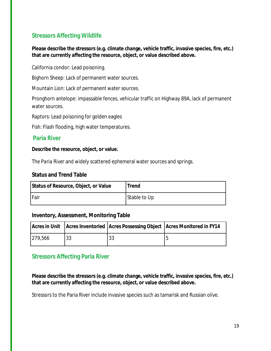#### **Stressors Affecting Wildlife**

**Please describe the stressors (e.g. climate change, vehicle traffic, invasive species, fire, etc.) that are currently affecting the resource, object, or value described above.** 

California condor: Lead poisoning.

Bighorn Sheep: Lack of permanent water sources.

Mountain Lion: Lack of permanent water sources.

Pronghorn antelope: impassable fences, vehicular traffic on Highway 89A, lack of permanent water sources.

Raptors: Lead poisoning for golden eagles

Fish: Flash flooding, high water temperatures.

#### **Paria River**

**Describe the resource, object, or value.** 

The *Paria River* and widely scattered ephemeral water sources and springs.

#### **Status and Trend Table**

| Status of Resource, Object, or Value | <b>Trend</b> |
|--------------------------------------|--------------|
| Fair                                 | Stable to Up |

#### **Inventory, Assessment, Monitoring Table**

|         |    |    | Acres in Unit   Acres Inventoried   Acres Possessing Object   Acres Monitored in FY14 |
|---------|----|----|---------------------------------------------------------------------------------------|
| 279,566 | 33 | 33 |                                                                                       |

#### **Stressors Affecting Paria River**

**Please describe the stressors (e.g. climate change, vehicle traffic, invasive species, fire, etc.) that are currently affecting the resource, object, or value described above.** 

Stressors to the Paria River include invasive species such as tamarisk and Russian olive.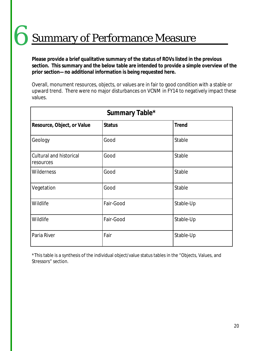Summary of Performance Measure 6

**Please provide a brief qualitative summary of the status of ROVs listed in the previous section. This summary and the below table are intended to provide a simple overview of the prior section—no additional information is being requested here.**

Overall, monument resources, objects, or values are in fair to good condition with a stable or upward trend. There were no major disturbances on VCNM in FY14 to negatively impact these values.

| Summary Table*                              |               |              |  |  |
|---------------------------------------------|---------------|--------------|--|--|
| Resource, Object, or Value                  | <b>Status</b> | <b>Trend</b> |  |  |
| Geology                                     | Good          | Stable       |  |  |
| <b>Cultural and historical</b><br>resources | Good          | Stable       |  |  |
| <b>Wilderness</b>                           | Good          | Stable       |  |  |
| Vegetation                                  | Good          | Stable       |  |  |
| Wildlife                                    | Fair-Good     | Stable-Up    |  |  |
| Wildlife                                    | Fair-Good     | Stable-Up    |  |  |
| Paria River                                 | Fair          | Stable-Up    |  |  |

\*This table is a synthesis of the individual object/value status tables in the "Objects, Values, and Stressors" section.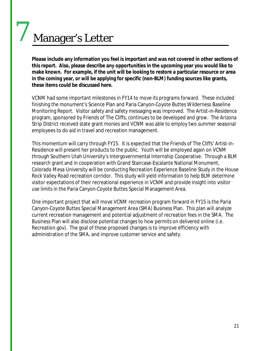## Manager's Letter

7

**Please include any information you feel is important and was not covered in other sections of this report. Also, please describe any opportunities in the upcoming year you would like to make known. For example, if the unit will be looking to restore a particular resource or area in the coming year, or will be applying for specific (non-BLM) funding sources like grants, these items could be discussed here.**

VCNM had some important milestones in FY14 to move its programs forward. These included finishing the monument's Science Plan and Paria Canyon-Coyote Buttes Wilderness Baseline Monitoring Report. Visitor safety and safety messaging was improved. The Artist-in-Residence program, sponsored by Friends of The Cliffs, continues to be developed and grow. The Arizona Strip District received state grant monies and VCNM was able to employ two summer seasonal employees to do aid in travel and recreation management.

This momentum will carry through FY15. It is expected that the Friends of The Cliffs' Artist-in-Residence will present her products to the public. Youth will be employed again on VCNM through Southern Utah University's Intergovernmental Internship Cooperative. Through a BLM research grant and in cooperation with Grand Staircase-Escalante National Monument, Colorado Mesa University will be conducting Recreation Experience Baseline Study in the House Rock Valley Road recreation corridor. This study will yield information to help BLM determine visitor expectations of their recreational experience in VCNM and provide insight into visitor use limits in the Paria Canyon-Coyote Buttes Special Management Area.

One important project that will move VCNM recreation program forward in FY15 is the Paria Canyon-Coyote Buttes Special Management Area (SMA) Business Plan. This plan will analyze current recreation management and potential adjustment of recreation fees in the SMA. The Business Plan will also disclose potential changes to how permits on delivered online (i.e. Recreation.gov). The goal of these proposed changes is to improve efficiency with administration of the SMA, and improve customer service and safety.